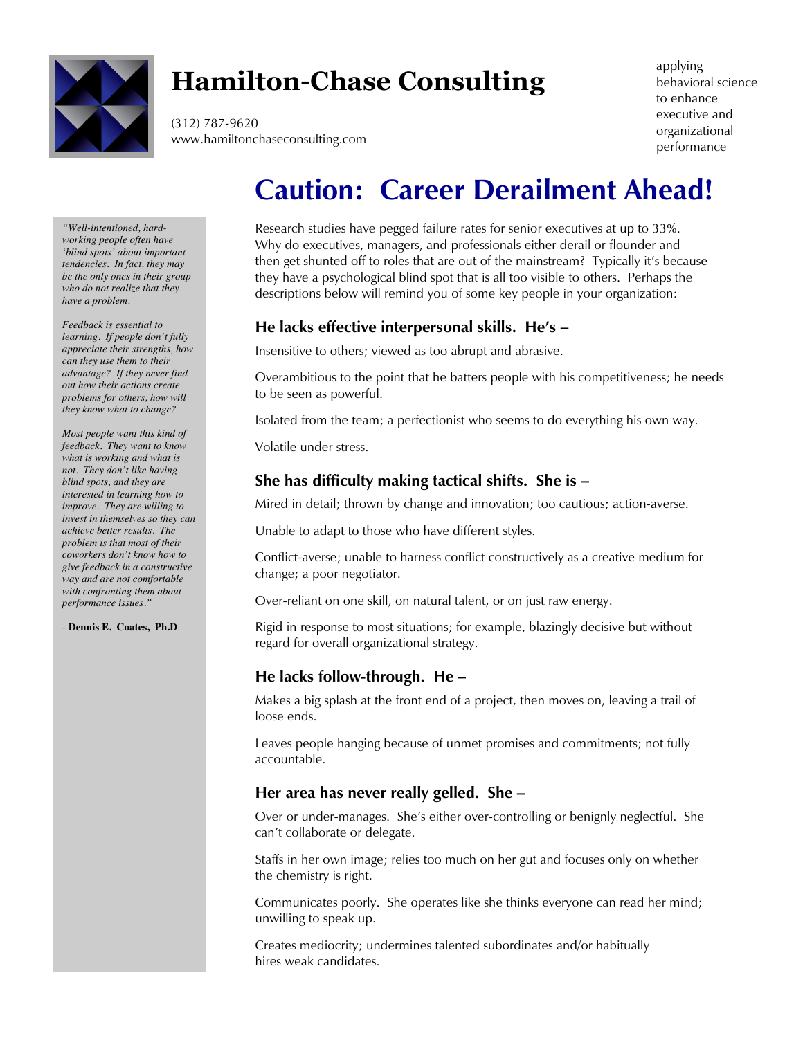

# **Hamilton-Chase Consulting**

(312) 787-9620 www.hamiltonchaseconsulting.com applying behavioral science to enhance executive and organizational performance

#### *"Well-intentioned, hardworking people often have 'blind spots' about important tendencies. In fact, they may be the only ones in their group who do not realize that they have a problem.*

*Feedback is essential to learning. If people don't fully appreciate their strengths, how can they use them to their advantage? If they never find out how their actions create problems for others, how will they know what to change?* 

*Most people want this kind of feedback. They want to know what is working and what is not. They don't like having blind spots, and they are interested in learning how to improve. They are willing to invest in themselves so they can achieve better results. The problem is that most of their coworkers don't know how to give feedback in a constructive way and are not comfortable with confronting them about performance issues."*

*-* **Dennis E. Coates, Ph.D***.*

# **Caution: Career Derailment Ahead!**

Research studies have pegged failure rates for senior executives at up to 33%. Why do executives, managers, and professionals either derail or flounder and then get shunted off to roles that are out of the mainstream? Typically it's because they have a psychological blind spot that is all too visible to others. Perhaps the descriptions below will remind you of some key people in your organization:

# **He lacks effective interpersonal skills. He's –**

Insensitive to others; viewed as too abrupt and abrasive.

Overambitious to the point that he batters people with his competitiveness; he needs to be seen as powerful.

Isolated from the team; a perfectionist who seems to do everything his own way.

Volatile under stress.

# **She has difficulty making tactical shifts. She is –**

Mired in detail; thrown by change and innovation; too cautious; action-averse.

Unable to adapt to those who have different styles.

Conflict-averse; unable to harness conflict constructively as a creative medium for change; a poor negotiator.

Over-reliant on one skill, on natural talent, or on just raw energy.

Rigid in response to most situations; for example, blazingly decisive but without regard for overall organizational strategy.

# **He lacks follow-through. He –**

Makes a big splash at the front end of a project, then moves on, leaving a trail of loose ends.

Leaves people hanging because of unmet promises and commitments; not fully accountable.

# **Her area has never really gelled. She –**

Over or under-manages. She's either over-controlling or benignly neglectful. She can't collaborate or delegate.

Staffs in her own image; relies too much on her gut and focuses only on whether the chemistry is right.

Communicates poorly. She operates like she thinks everyone can read her mind; unwilling to speak up.

Creates mediocrity; undermines talented subordinates and/or habitually hires weak candidates.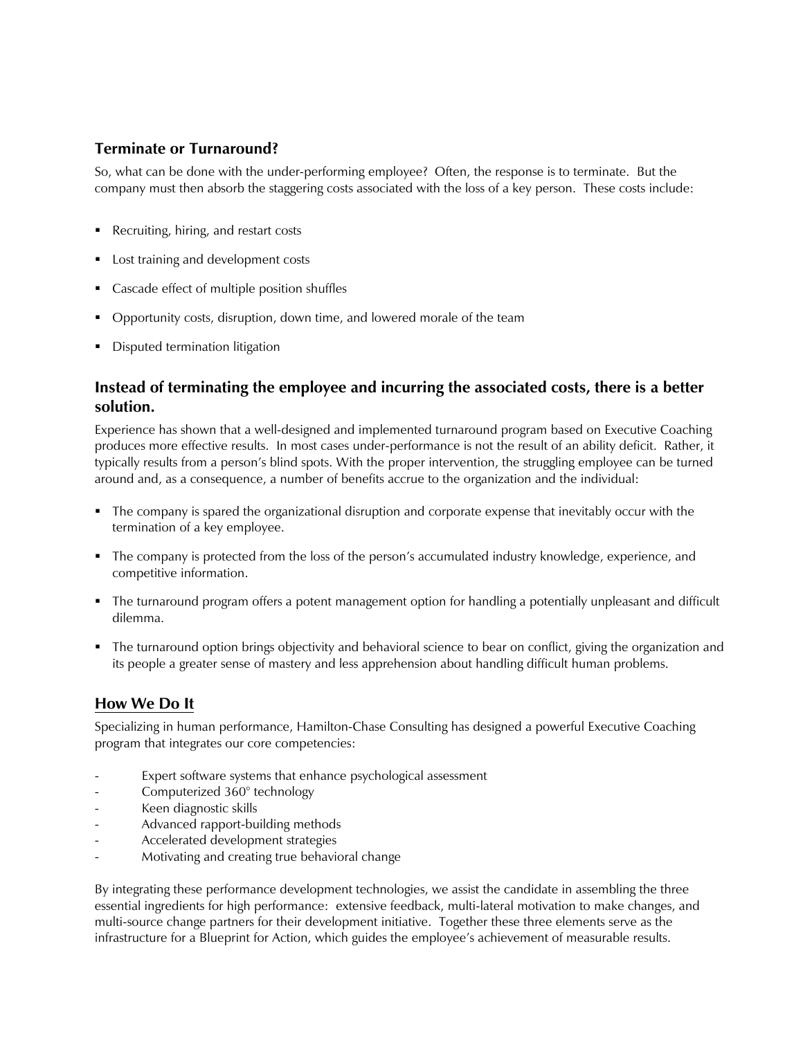#### **Terminate or Turnaround?**

So, what can be done with the under-performing employee? Often, the response is to terminate. But the company must then absorb the staggering costs associated with the loss of a key person. These costs include:

- Recruiting, hiring, and restart costs
- Lost training and development costs
- Cascade effect of multiple position shuffles
- § Opportunity costs, disruption, down time, and lowered morale of the team
- **•** Disputed termination litigation

#### **Instead of terminating the employee and incurring the associated costs, there is a better solution.**

Experience has shown that a well-designed and implemented turnaround program based on Executive Coaching produces more effective results. In most cases under-performance is not the result of an ability deficit. Rather, it typically results from a person's blind spots. With the proper intervention, the struggling employee can be turned around and, as a consequence, a number of benefits accrue to the organization and the individual:

- § The company is spared the organizational disruption and corporate expense that inevitably occur with the termination of a key employee.
- § The company is protected from the loss of the person's accumulated industry knowledge, experience, and competitive information.
- The turnaround program offers a potent management option for handling a potentially unpleasant and difficult dilemma.
- The turnaround option brings objectivity and behavioral science to bear on conflict, giving the organization and its people a greater sense of mastery and less apprehension about handling difficult human problems.

#### **How We Do It**

Specializing in human performance, Hamilton-Chase Consulting has designed a powerful Executive Coaching program that integrates our core competencies:

- Expert software systems that enhance psychological assessment
- Computerized 360° technology
- Keen diagnostic skills
- Advanced rapport-building methods
- Accelerated development strategies
- Motivating and creating true behavioral change

By integrating these performance development technologies, we assist the candidate in assembling the three essential ingredients for high performance: extensive feedback, multi-lateral motivation to make changes, and multi-source change partners for their development initiative. Together these three elements serve as the infrastructure for a Blueprint for Action, which guides the employee's achievement of measurable results.